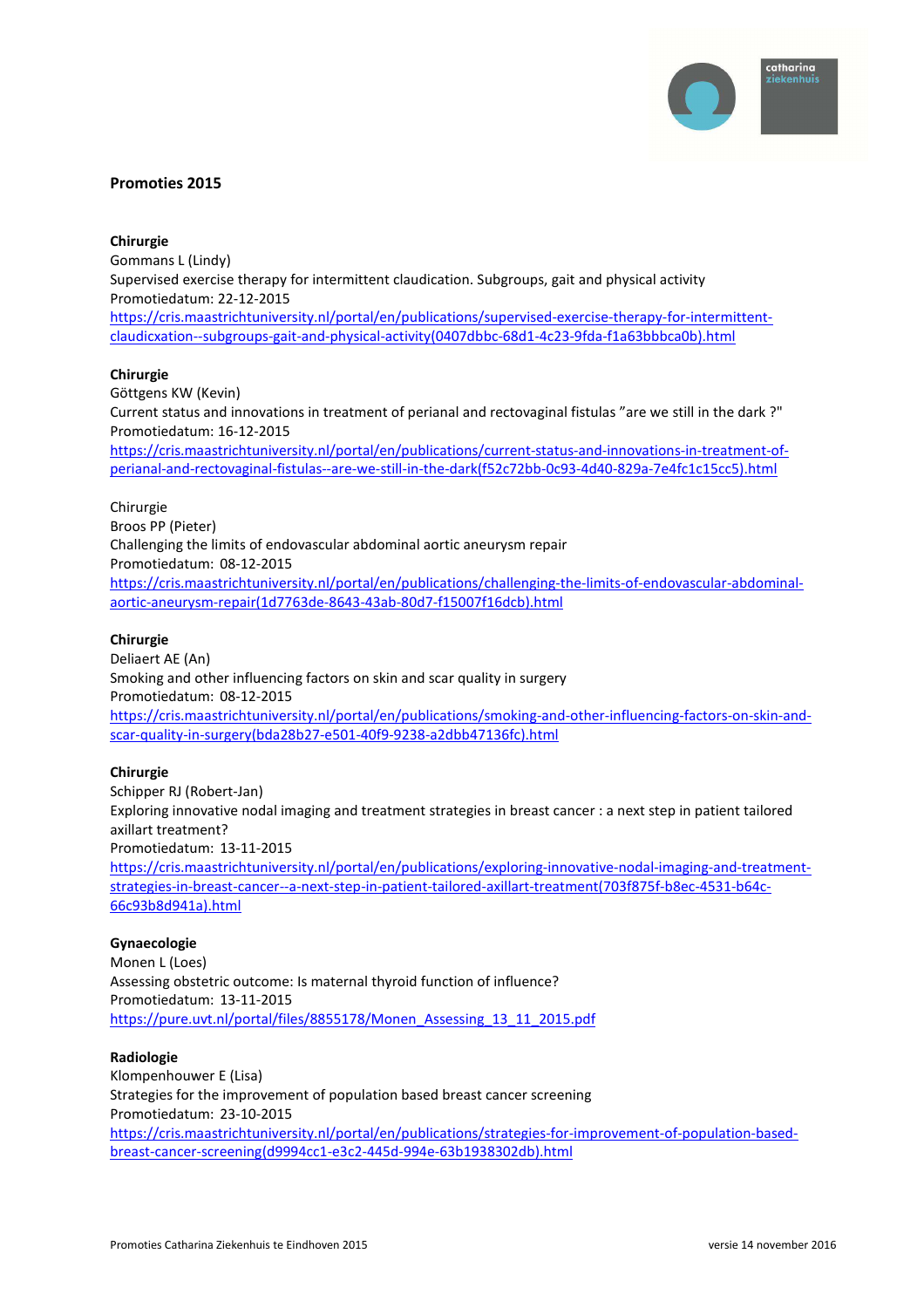

# **Promoties 2015**

## **Chirurgie**

Gommans L (Lindy) Supervised exercise therapy for intermittent claudication. Subgroups, gait and physical activity Promotiedatum: 22-12-2015 https://cris.maastrichtuniversity.nl/portal/en/publications/supervised-exercise-therapy-for-intermittentclaudicxation--subgroups-gait-and-physical-activity(0407dbbc-68d1-4c23-9fda-f1a63bbbca0b).html

### **Chirurgie**

Göttgens KW (Kevin) Current status and innovations in treatment of perianal and rectovaginal fistulas "are we still in the dark ?" Promotiedatum: 16-12-2015

https://cris.maastrichtuniversity.nl/portal/en/publications/current-status-and-innovations-in-treatment-ofperianal-and-rectovaginal-fistulas--are-we-still-in-the-dark(f52c72bb-0c93-4d40-829a-7e4fc1c15cc5).html

# Chirurgie

Broos PP (Pieter) Challenging the limits of endovascular abdominal aortic aneurysm repair Promotiedatum: 08-12-2015 https://cris.maastrichtuniversity.nl/portal/en/publications/challenging-the-limits-of-endovascular-abdominalaortic-aneurysm-repair(1d7763de-8643-43ab-80d7-f15007f16dcb).html

### **Chirurgie**

Deliaert AE (An) Smoking and other influencing factors on skin and scar quality in surgery Promotiedatum: 08-12-2015 https://cris.maastrichtuniversity.nl/portal/en/publications/smoking-and-other-influencing-factors-on-skin-andscar-quality-in-surgery(bda28b27-e501-40f9-9238-a2dbb47136fc).html

# **Chirurgie**

Schipper RJ (Robert-Jan) Exploring innovative nodal imaging and treatment strategies in breast cancer : a next step in patient tailored axillart treatment? Promotiedatum: 13-11-2015 https://cris.maastrichtuniversity.nl/portal/en/publications/exploring-innovative-nodal-imaging-and-treatmentstrategies-in-breast-cancer--a-next-step-in-patient-tailored-axillart-treatment(703f875f-b8ec-4531-b64c-66c93b8d941a).html

### **Gynaecologie**

Monen L (Loes) Assessing obstetric outcome: Is maternal thyroid function of influence? Promotiedatum: 13-11-2015 https://pure.uvt.nl/portal/files/8855178/Monen\_Assessing\_13\_11\_2015.pdf

### **Radiologie**

Klompenhouwer E (Lisa) Strategies for the improvement of population based breast cancer screening Promotiedatum: 23-10-2015 https://cris.maastrichtuniversity.nl/portal/en/publications/strategies-for-improvement-of-population-basedbreast-cancer-screening(d9994cc1-e3c2-445d-994e-63b1938302db).html